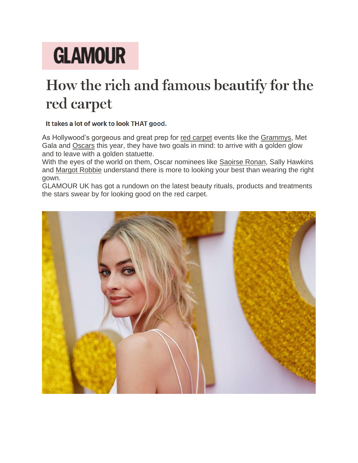# **GLAMOUR**

## How the rich and famous beautify for the red carpet

#### It takes a lot of work to look THAT good.

As Hollywood's gorgeous and great prep for [red carpet](http://www.glamourmagazine.co.uk/article/best-grammy-dresses-ever) events like the [Grammys,](http://www.glamourmagazine.co.uk/article/grammy-2018-news-and-pictures) Met Gala and [Oscars](http://www.glamourmagazine.co.uk/article/oscar-nominations-2018) this year, they have two goals in mind: to arrive with a golden glow and to leave with a golden statuette.

With the eyes of the world on them, Oscar nominees like [Saoirse Ronan,](http://www.glamourmagazine.co.uk/article/saoirse-ronan-golden-globes-2018-dress) Sally Hawkins and [Margot Robbie](http://www.glamourmagazine.co.uk/article/margot-robbie-reveals-how-she-got-her-i-tonya-body) understand there is more to looking your best than wearing the right gown.

GLAMOUR UK has got a rundown on the latest beauty rituals, products and treatments the stars swear by for looking good on the red carpet.

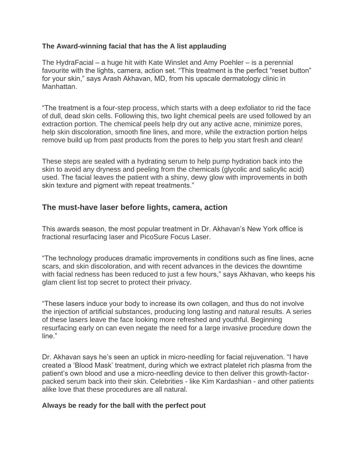#### **The Award-winning facial that has the A list applauding**

The HydraFacial – a huge hit with Kate Winslet and Amy Poehler – is a perennial favourite with the lights, camera, action set. "This treatment is the perfect "reset button" for your skin," says Arash Akhavan, MD, from his upscale dermatology clinic in Manhattan.

"The treatment is a four-step process, which starts with a deep exfoliator to rid the face of dull, dead skin cells. Following this, two light chemical peels are used followed by an extraction portion. The chemical peels help dry out any active acne, minimize pores, help skin discoloration, smooth fine lines, and more, while the extraction portion helps remove build up from past products from the pores to help you start fresh and clean!

These steps are sealed with a hydrating serum to help pump hydration back into the skin to avoid any dryness and peeling from the chemicals (glycolic and salicylic acid) used. The facial leaves the patient with a shiny, dewy glow with improvements in both skin texture and pigment with repeat treatments."

### **The must-have laser before lights, camera, action**

This awards season, the most popular treatment in Dr. Akhavan's New York office is fractional resurfacing laser and PicoSure Focus Laser.

"The technology produces dramatic improvements in conditions such as fine lines, acne scars, and skin discoloration, and with recent advances in the devices the downtime with facial redness has been reduced to just a few hours," says Akhavan, who keeps his glam client list top secret to protect their privacy.

"These lasers induce your body to increase its own collagen, and thus do not involve the injection of artificial substances, producing long lasting and natural results. A series of these lasers leave the face looking more refreshed and youthful. Beginning resurfacing early on can even negate the need for a large invasive procedure down the line."

Dr. Akhavan says he's seen an uptick in micro-needling for facial rejuvenation. "I have created a 'Blood Mask' treatment, during which we extract platelet rich plasma from the patient's own blood and use a micro-needling device to then deliver this growth-factorpacked serum back into their skin. Celebrities - like Kim Kardashian - and other patients alike love that these procedures are all natural.

#### **Always be ready for the ball with the perfect pout**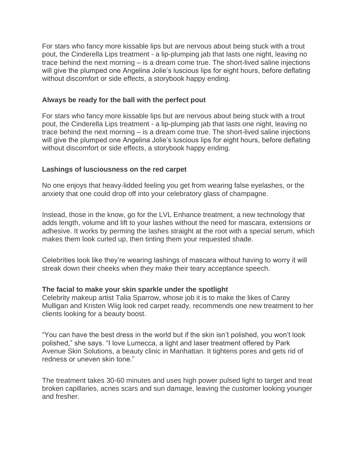For stars who fancy more kissable lips but are nervous about being stuck with a trout pout, the Cinderella Lips treatment - a lip-plumping jab that lasts one night, leaving no trace behind the next morning – is a dream come true. The short-lived saline injections will give the plumped one Angelina Jolie's luscious lips for eight hours, before deflating without discomfort or side effects, a storybook happy ending.

#### **Always be ready for the ball with the perfect pout**

For stars who fancy more kissable lips but are nervous about being stuck with a trout pout, the Cinderella Lips treatment - a lip-plumping jab that lasts one night, leaving no trace behind the next morning – is a dream come true. The short-lived saline injections will give the plumped one Angelina Jolie's luscious lips for eight hours, before deflating without discomfort or side effects, a storybook happy ending.

#### **Lashings of lusciousness on the red carpet**

No one enjoys that heavy-lidded feeling you get from wearing false eyelashes, or the anxiety that one could drop off into your celebratory glass of champagne.

Instead, those in the know, go for the LVL Enhance treatment, a new technology that adds length, volume and lift to your lashes without the need for mascara, extensions or adhesive. It works by perming the lashes straight at the root with a special serum, which makes them look curled up, then tinting them your requested shade.

Celebrities look like they're wearing lashings of mascara without having to worry it will streak down their cheeks when they make their teary acceptance speech.

#### **The facial to make your skin sparkle under the spotlight**

Celebrity makeup artist Talia Sparrow, whose job it is to make the likes of Carey Mulligan and Kristen Wiig look red carpet ready, recommends one new treatment to her clients looking for a beauty boost.

"You can have the best dress in the world but if the skin isn't polished, you won't look polished," she says. "I love Lumecca, a light and laser treatment offered by Park Avenue Skin Solutions, a beauty clinic in Manhattan. It tightens pores and gets rid of redness or uneven skin tone."

The treatment takes 30-60 minutes and uses high power pulsed light to target and treat broken capillaries, acnes scars and sun damage, leaving the customer looking younger and fresher.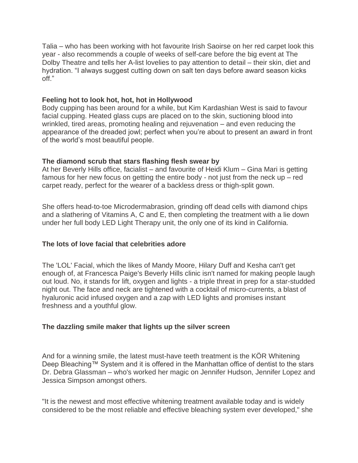Talia – who has been working with hot favourite Irish Saoirse on her red carpet look this year - also recommends a couple of weeks of self-care before the big event at The Dolby Theatre and tells her A-list lovelies to pay attention to detail – their skin, diet and hydration. "I always suggest cutting down on salt ten days before award season kicks off."

#### **Feeling hot to look hot, hot, hot in Hollywood**

Body cupping has been around for a while, but Kim Kardashian West is said to favour facial cupping. Heated glass cups are placed on to the skin, suctioning blood into wrinkled, tired areas, promoting healing and rejuvenation – and even reducing the appearance of the dreaded jowl; perfect when you're about to present an award in front of the world's most beautiful people.

#### **The diamond scrub that stars flashing flesh swear by**

At her Beverly Hills office, facialist – and favourite of Heidi Klum – Gina Mari is getting famous for her new focus on getting the entire body - not just from the neck up – red carpet ready, perfect for the wearer of a backless dress or thigh-split gown.

She offers head-to-toe Microdermabrasion, grinding off dead cells with diamond chips and a slathering of Vitamins A, C and E, then completing the treatment with a lie down under her full body LED Light Therapy unit, the only one of its kind in California.

#### **The lots of love facial that celebrities adore**

The 'LOL' Facial, which the likes of Mandy Moore, Hilary Duff and Kesha can't get enough of, at Francesca Paige's Beverly Hills clinic isn't named for making people laugh out loud. No, it stands for lift, oxygen and lights - a triple threat in prep for a star-studded night out. The face and neck are tightened with a cocktail of micro-currents, a blast of hyaluronic acid infused oxygen and a zap with LED lights and promises instant freshness and a youthful glow.

#### **The dazzling smile maker that lights up the silver screen**

And for a winning smile, the latest must-have teeth treatment is the KÖR Whitening Deep Bleaching™ System and it is offered in the Manhattan office of dentist to the stars Dr. Debra Glassman – who's worked her magic on Jennifer Hudson, Jennifer Lopez and Jessica Simpson amongst others.

"It is the newest and most effective whitening treatment available today and is widely considered to be the most reliable and effective bleaching system ever developed," she